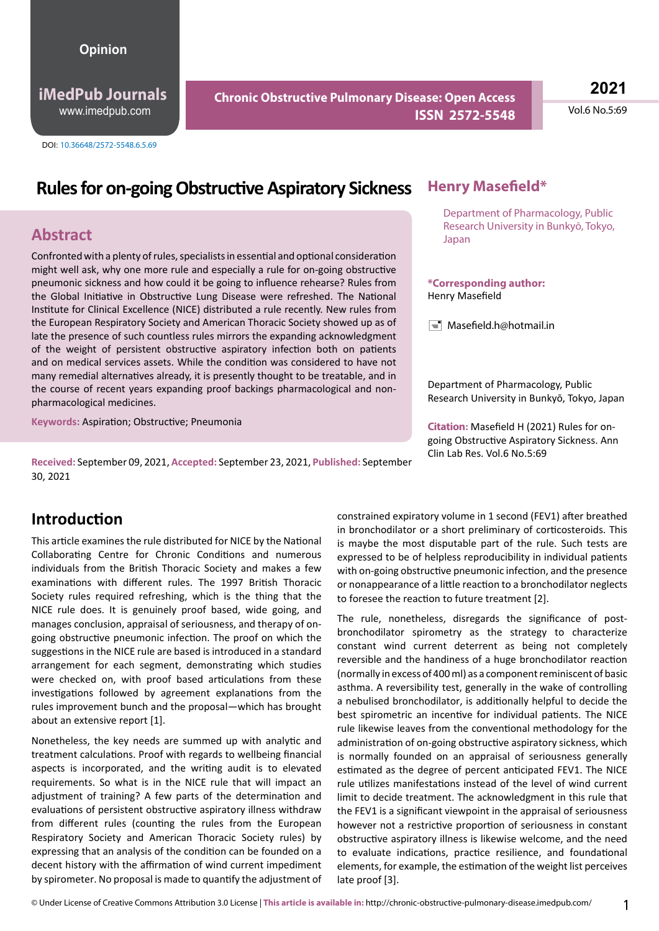#### **Opinion**

**iMedPub Journals** www.imedpub.com

DOI: 10.36648/2572-5548.6.5.69

### **Chronic Obstructive Pulmonary Disease: Open Access ISSN 2572-5548**

**2021**

Vol.6 No.5:69

# **Rules for on-going Obstructive Aspiratory Sickness**

#### **Abstract**

Confronted with a plenty of rules, specialists in essential and optional consideration might well ask, why one more rule and especially a rule for on-going obstructive pneumonic sickness and how could it be going to influence rehearse? Rules from the Global Initiative in Obstructive Lung Disease were refreshed. The National Institute for Clinical Excellence (NICE) distributed a rule recently. New rules from the European Respiratory Society and American Thoracic Society showed up as of late the presence of such countless rules mirrors the expanding acknowledgment of the weight of persistent obstructive aspiratory infection both on patients and on medical services assets. While the condition was considered to have not many remedial alternatives already, it is presently thought to be treatable, and in the course of recent years expanding proof backings pharmacological and nonpharmacological medicines.

**Keywords:** Aspiration; Obstructive; Pneumonia

**Received:** September 09, 2021, **Accepted:** September 23, 2021, **Published:** September 30, 2021

#### **Henry Masefield\***

Department of Pharmacology, Public Research University in Bunkyō, Tokyo, Japan

#### **\*Corresponding author:** Henry Masefield

 $\equiv$  Masefield.h@hotmail.in

Department of Pharmacology, Public Research University in Bunkyō, Tokyo, Japan

**Citation:** Masefield H (2021) Rules for ongoing Obstructive Aspiratory Sickness. Ann Clin Lab Res. Vol.6 No.5:69

### **Introduction**

This article examines the rule distributed for NICE by the National Collaborating Centre for Chronic Conditions and numerous individuals from the British Thoracic Society and makes a few examinations with different rules. The 1997 British Thoracic Society rules required refreshing, which is the thing that the NICE rule does. It is genuinely proof based, wide going, and manages conclusion, appraisal of seriousness, and therapy of ongoing obstructive pneumonic infection. The proof on which the suggestions in the NICE rule are based is introduced in a standard arrangement for each segment, demonstrating which studies were checked on, with proof based articulations from these investigations followed by agreement explanations from the rules improvement bunch and the proposal—which has brought about an extensive report [1].

Nonetheless, the key needs are summed up with analytic and treatment calculations. Proof with regards to wellbeing financial aspects is incorporated, and the writing audit is to elevated requirements. So what is in the NICE rule that will impact an adjustment of training? A few parts of the determination and evaluations of persistent obstructive aspiratory illness withdraw from different rules (counting the rules from the European Respiratory Society and American Thoracic Society rules) by expressing that an analysis of the condition can be founded on a decent history with the affirmation of wind current impediment by spirometer. No proposal is made to quantify the adjustment of

constrained expiratory volume in 1 second (FEV1) after breathed in bronchodilator or a short preliminary of corticosteroids. This is maybe the most disputable part of the rule. Such tests are expressed to be of helpless reproducibility in individual patients with on-going obstructive pneumonic infection, and the presence or nonappearance of a little reaction to a bronchodilator neglects to foresee the reaction to future treatment [2].

The rule, nonetheless, disregards the significance of postbronchodilator spirometry as the strategy to characterize constant wind current deterrent as being not completely reversible and the handiness of a huge bronchodilator reaction (normally in excess of 400 ml) as a component reminiscent of basic asthma. A reversibility test, generally in the wake of controlling a nebulised bronchodilator, is additionally helpful to decide the best spirometric an incentive for individual patients. The NICE rule likewise leaves from the conventional methodology for the administration of on-going obstructive aspiratory sickness, which is normally founded on an appraisal of seriousness generally estimated as the degree of percent anticipated FEV1. The NICE rule utilizes manifestations instead of the level of wind current limit to decide treatment. The acknowledgment in this rule that the FEV1 is a significant viewpoint in the appraisal of seriousness however not a restrictive proportion of seriousness in constant obstructive aspiratory illness is likewise welcome, and the need to evaluate indications, practice resilience, and foundational elements, for example, the estimation of the weight list perceives late proof [3].